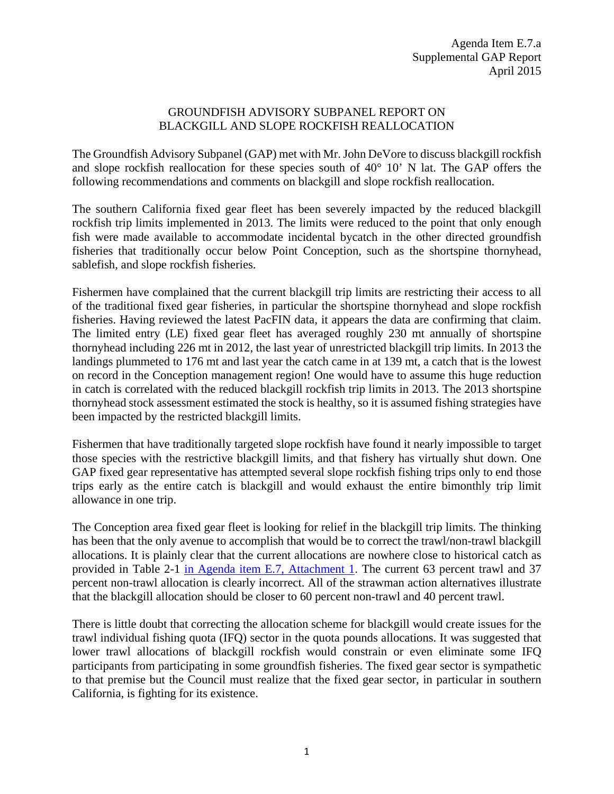## GROUNDFISH ADVISORY SUBPANEL REPORT ON BLACKGILL AND SLOPE ROCKFISH REALLOCATION

The Groundfish Advisory Subpanel (GAP) met with Mr. John DeVore to discuss blackgill rockfish and slope rockfish reallocation for these species south of 40° 10' N lat. The GAP offers the following recommendations and comments on blackgill and slope rockfish reallocation.

The southern California fixed gear fleet has been severely impacted by the reduced blackgill rockfish trip limits implemented in 2013. The limits were reduced to the point that only enough fish were made available to accommodate incidental bycatch in the other directed groundfish fisheries that traditionally occur below Point Conception, such as the shortspine thornyhead, sablefish, and slope rockfish fisheries.

Fishermen have complained that the current blackgill trip limits are restricting their access to all of the traditional fixed gear fisheries, in particular the shortspine thornyhead and slope rockfish fisheries. Having reviewed the latest PacFIN data, it appears the data are confirming that claim. The limited entry (LE) fixed gear fleet has averaged roughly 230 mt annually of shortspine thornyhead including 226 mt in 2012, the last year of unrestricted blackgill trip limits. In 2013 the landings plummeted to 176 mt and last year the catch came in at 139 mt, a catch that is the lowest on record in the Conception management region! One would have to assume this huge reduction in catch is correlated with the reduced blackgill rockfish trip limits in 2013. The 2013 shortspine thornyhead stock assessment estimated the stock is healthy, so it is assumed fishing strategies have been impacted by the restricted blackgill limits.

Fishermen that have traditionally targeted slope rockfish have found it nearly impossible to target those species with the restrictive blackgill limits, and that fishery has virtually shut down. One GAP fixed gear representative has attempted several slope rockfish fishing trips only to end those trips early as the entire catch is blackgill and would exhaust the entire bimonthly trip limit allowance in one trip.

The Conception area fixed gear fleet is looking for relief in the blackgill trip limits. The thinking has been that the only avenue to accomplish that would be to correct the trawl/non-trawl blackgill allocations. It is plainly clear that the current allocations are nowhere close to historical catch as provided in Table 2-1 [in Agenda item E.7, Attachment 1.](http://www.pcouncil.org/wp-content/uploads/2015/03/E7_Att1_BGill_Allocation_EA_APR2015BB.pdf) The current 63 percent trawl and 37 percent non-trawl allocation is clearly incorrect. All of the strawman action alternatives illustrate that the blackgill allocation should be closer to 60 percent non-trawl and 40 percent trawl.

There is little doubt that correcting the allocation scheme for blackgill would create issues for the trawl individual fishing quota (IFQ) sector in the quota pounds allocations. It was suggested that lower trawl allocations of blackgill rockfish would constrain or even eliminate some IFQ participants from participating in some groundfish fisheries. The fixed gear sector is sympathetic to that premise but the Council must realize that the fixed gear sector, in particular in southern California, is fighting for its existence.